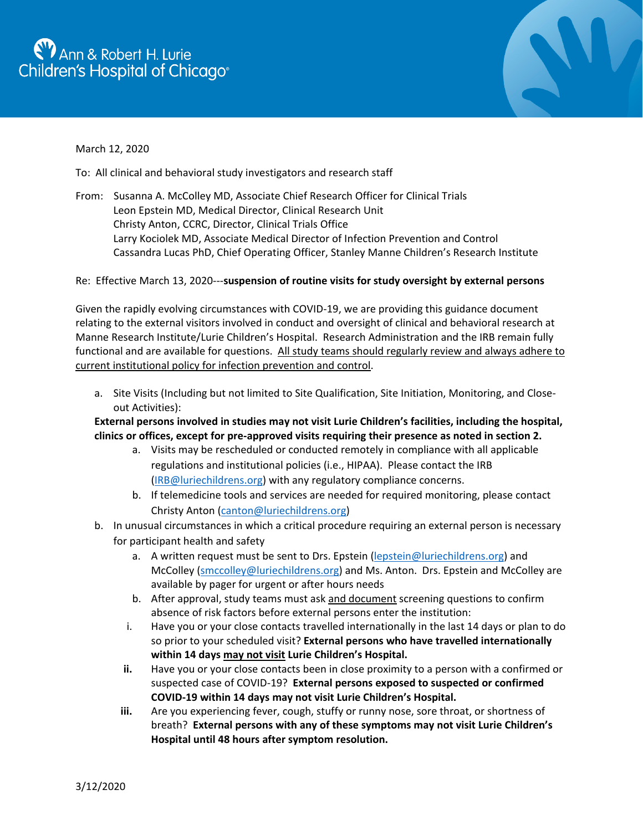## <sup>1</sup> Ann & Robert H. Lurie Children's Hospital of Chicago<sup>®</sup>



## March 12, 2020

To: All clinical and behavioral study investigators and research staff

From: Susanna A. McColley MD, Associate Chief Research Officer for Clinical Trials Leon Epstein MD, Medical Director, Clinical Research Unit Christy Anton, CCRC, Director, Clinical Trials Office Larry Kociolek MD, Associate Medical Director of Infection Prevention and Control Cassandra Lucas PhD, Chief Operating Officer, Stanley Manne Children's Research Institute

## Re: Effective March 13, 2020---**suspension of routine visits for study oversight by external persons**

Given the rapidly evolving circumstances with COVID-19, we are providing this guidance document relating to the external visitors involved in conduct and oversight of clinical and behavioral research at Manne Research Institute/Lurie Children's Hospital. Research Administration and the IRB remain fully functional and are available for questions. All study teams should regularly review and always adhere to current institutional policy for infection prevention and control.

a. Site Visits (Including but not limited to Site Qualification, Site Initiation, Monitoring, and Closeout Activities):

## **External persons involved in studies may not visit Lurie Children's facilities, including the hospital, clinics or offices, except for pre-approved visits requiring their presence as noted in section 2.**

- a. Visits may be rescheduled or conducted remotely in compliance with all applicable regulations and institutional policies (i.e., HIPAA). Please contact the IRB [\(IRB@luriechildrens.org\)](mailto:IRB@luriechildrens.org) with any regulatory compliance concerns.
- b. If telemedicine tools and services are needed for required monitoring, please contact Christy Anton [\(canton@luriechildrens.org\)](mailto:canton@luriechildrens.org)
- b. In unusual circumstances in which a critical procedure requiring an external person is necessary for participant health and safety
	- a. A written request must be sent to Drs. Epstein [\(lepstein@luriechildrens.org\)](mailto:lepstein@luriechildrens.org) and McColley [\(smccolley@luriechildrens.org\)](mailto:smccolley@luriechildrens.org) and Ms. Anton. Drs. Epstein and McColley are available by pager for urgent or after hours needs
	- b. After approval, study teams must ask and document screening questions to confirm absence of risk factors before external persons enter the institution:
	- i. Have you or your close contacts travelled internationally in the last 14 days or plan to do so prior to your scheduled visit? **External persons who have travelled internationally within 14 days may not visit Lurie Children's Hospital.**
	- **ii.** Have you or your close contacts been in close proximity to a person with a confirmed or suspected case of COVID-19? **External persons exposed to suspected or confirmed COVID-19 within 14 days may not visit Lurie Children's Hospital.**
	- **iii.** Are you experiencing fever, cough, stuffy or runny nose, sore throat, or shortness of breath? **External persons with any of these symptoms may not visit Lurie Children's Hospital until 48 hours after symptom resolution.**